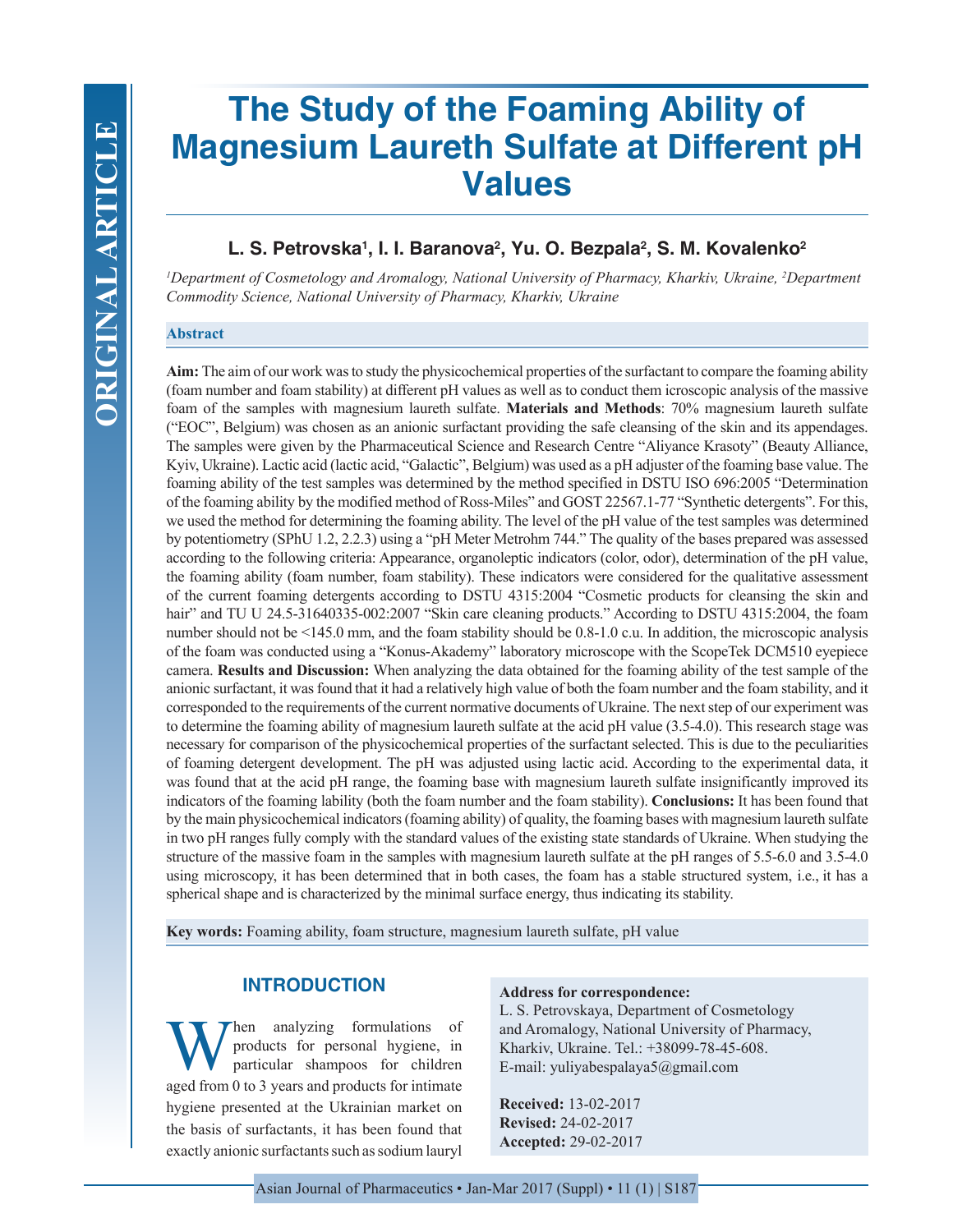# **The Study of the Foaming Ability of Magnesium Laureth Sulfate at Different pH Values**

# L. S. Petrovska<sup>1</sup>, I. I. Baranova<sup>2</sup>, Yu. O. Bezpala<sup>2</sup>, S. M. Kovalenko<sup>2</sup>

*1 Department of Cosmetology and Aromalogy, National University of Pharmacy, Kharkiv, Ukraine, 2 Department Commodity Science, National University of Pharmacy, Kharkiv, Ukraine*

#### **Abstract**

**Aim:** The aim of our work was to study the physicochemical properties of the surfactant to compare the foaming ability (foam number and foam stability) at different pH values as well as to conduct them icroscopic analysis of the massive foam of the samples with magnesium laureth sulfate. **Materials and Methods**: 70% magnesium laureth sulfate ("EОС", Belgium) was chosen as an anionic surfactant providing the safe cleansing of the skin and its appendages. The samples were given by the Pharmaceutical Science and Research Centre "Aliyance Krasoty" (Beauty Alliance, Kyiv, Ukraine). Lactic acid (lactic acid, "Galactic", Belgium) was used as a pH adjuster of the foaming base value. The foaming ability of the test samples was determined by the method specified in DSTU ISO 696:2005 "Determination of the foaming ability by the modified method of Ross-Miles" and GOST 22567.1-77 "Synthetic detergents". For this, we used the method for determining the foaming ability. The level of the pH value of the test samples was determined by potentiometry (SPhU 1.2, 2.2.3) using a "рН Meter Metrohm 744." The quality of the bases prepared was assessed according to the following criteria: Appearance, organoleptic indicators (color, odor), determination of the рН value, the foaming ability (foam number, foam stability). These indicators were considered for the qualitative assessment of the current foaming detergents according to DSTU 4315:2004 "Cosmetic products for cleansing the skin and hair" and TU U 24.5-31640335-002:2007 "Skin care cleaning products." According to DSTU 4315:2004, the foam number should not be <145.0 mm, and the foam stability should be 0.8-1.0 c.u. In addition, the microscopic analysis of the foam was conducted using a "Konus-Akademy" laboratory microscope with the ScopeTek DCM510 eyepiece camera. **Results and Discussion:** When analyzing the data obtained for the foaming ability of the test sample of the anionic surfactant, it was found that it had a relatively high value of both the foam number and the foam stability, and it corresponded to the requirements of the current normative documents of Ukraine. The next step of our experiment was to determine the foaming ability of magnesium laureth sulfate at the acid рН value (3.5-4.0). This research stage was necessary for comparison of the physicochemical properties of the surfactant selected. This is due to the peculiarities of foaming detergent development. The рН was adjusted using lactic acid. According to the experimental data, it was found that at the acid pH range, the foaming base with magnesium laureth sulfate insignificantly improved its indicators of the foaming lability (both the foam number and the foam stability). **Conclusions:** It has been found that by the main physicochemical indicators (foaming ability) of quality, the foaming bases with magnesium laureth sulfate in two рН ranges fully comply with the standard values of the existing state standards of Ukraine. When studying the structure of the massive foam in the samples with magnesium laureth sulfate at the pH ranges of 5.5-6.0 and 3.5-4.0 using microscopy, it has been determined that in both cases, the foam has a stable structured system, i.e., it has a spherical shape and is characterized by the minimal surface energy, thus indicating its stability.

**Key words:** Foaming ability, foam structure, magnesium laureth sulfate, рН value

# **INTRODUCTION**

When analyzing formulations of<br>products for personal hygiene, in<br>particular shampoos for children products for personal hygiene, in particular shampoos for children aged from 0 to 3 years and products for intimate hygiene presented at the Ukrainian market on the basis of surfactants, it has been found that exactly anionic surfactants such as sodium lauryl

#### **Address for correspondence:**

L. S. Petrovskaya, Department of Cosmetology and Aromalogy, National University of Pharmacy, Kharkiv, Ukraine. Tel.: +38099-78-45-608. E-mail: yuliyabespalaya5@gmail.com

**Received:** 13-02-2017 **Revised:** 24-02-2017 **Accepted:** 29-02-2017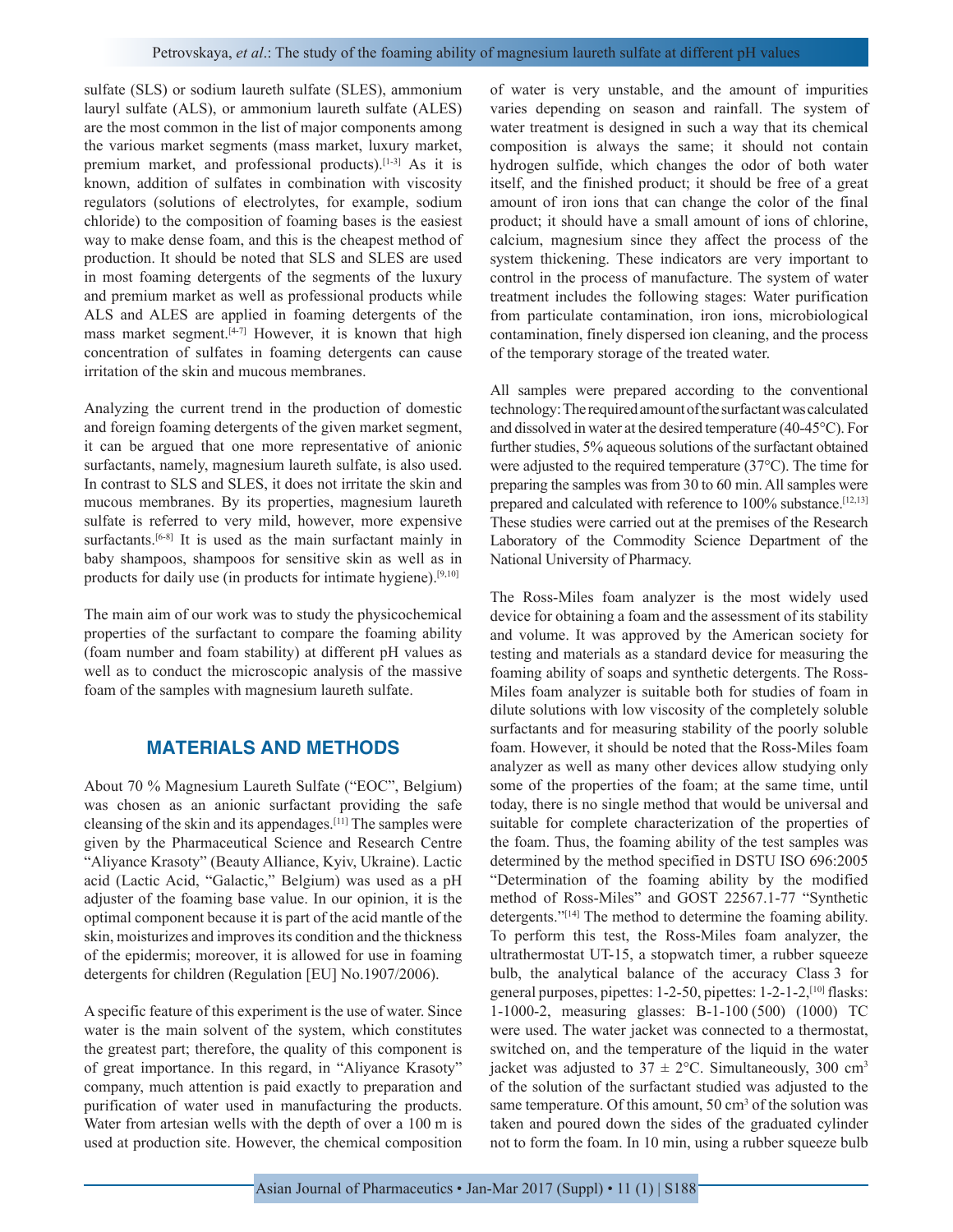sulfate (SLS) or sodium laureth sulfate (SLES), ammonium lauryl sulfate (ALS), or ammonium laureth sulfate (ALES) are the most common in the list of major components among the various market segments (mass market, luxury market, premium market, and professional products).[1-3] As it is known, addition of sulfates in combination with viscosity regulators (solutions of electrolytes, for example, sodium chloride) to the composition of foaming bases is the easiest way to make dense foam, and this is the cheapest method of production. It should be noted that SLS and SLES are used in most foaming detergents of the segments of the luxury and premium market as well as professional products while ALS and ALES are applied in foaming detergents of the mass market segment.[4-7] However, it is known that high concentration of sulfates in foaming detergents can cause irritation of the skin and mucous membranes.

Analyzing the current trend in the production of domestic and foreign foaming detergents of the given market segment, it can be argued that one more representative of anionic surfactants, namely, magnesium laureth sulfate, is also used. In contrast to SLS and SLES, it does not irritate the skin and mucous membranes. By its properties, magnesium laureth sulfate is referred to very mild, however, more expensive surfactants.<sup>[6-8]</sup> It is used as the main surfactant mainly in baby shampoos, shampoos for sensitive skin as well as in products for daily use (in products for intimate hygiene).[9,10]

The main aim of our work was to study the physicochemical properties of the surfactant to compare the foaming ability (foam number and foam stability) at different pH values as well as to conduct the microscopic analysis of the massive foam of the samples with magnesium laureth sulfate.

# **MATERIALS AND METHODS**

About 70 % Magnesium Laureth Sulfate ("EОС", Belgium) was chosen as an anionic surfactant providing the safe cleansing of the skin and its appendages.[11] The samples were given by the Pharmaceutical Science and Research Centre "Aliyance Krasoty" (Beauty Alliance, Kyiv, Ukraine). Lactic acid (Lactic Acid, "Galactic," Belgium) was used as a pH adjuster of the foaming base value. In our opinion, it is the optimal component because it is part of the acid mantle of the skin, moisturizes and improves its condition and the thickness of the epidermis; moreover, it is allowed for use in foaming detergents for children (Regulation [EU] No.1907/2006).

A specific feature of this experiment is the use of water. Since water is the main solvent of the system, which constitutes the greatest part; therefore, the quality of this component is of great importance. In this regard, in "Aliyance Krasoty" company, much attention is paid exactly to preparation and purification of water used in manufacturing the products. Water from artesian wells with the depth of over a 100 m is used at production site. However, the chemical composition of water is very unstable, and the amount of impurities varies depending on season and rainfall. The system of water treatment is designed in such a way that its chemical composition is always the same; it should not contain hydrogen sulfide, which changes the odor of both water itself, and the finished product; it should be free of a great amount of iron ions that can change the color of the final product; it should have a small amount of ions of chlorine, calcium, magnesium since they affect the process of the system thickening. These indicators are very important to control in the process of manufacture. The system of water treatment includes the following stages: Water purification from particulate contamination, iron ions, microbiological contamination, finely dispersed ion cleaning, and the process of the temporary storage of the treated water.

All samples were prepared according to the conventional technology: The required amount of the surfactant was calculated and dissolved in water at the desired temperature (40-45°С). For further studies, 5% aqueous solutions of the surfactant obtained were adjusted to the required temperature (37°С). The time for preparing the samples was from 30 to 60 min. All samples were prepared and calculated with reference to 100% substance.<sup>[12,13]</sup> These studies were carried out at the premises of the Research Laboratory of the Commodity Science Department of the National University of Pharmacy.

The Ross-Miles foam analyzer is the most widely used device for obtaining a foam and the assessment of its stability and volume. It was approved by the American society for testing and materials as a standard device for measuring the foaming ability of soaps and synthetic detergents. The Ross-Miles foam analyzer is suitable both for studies of foam in dilute solutions with low viscosity of the completely soluble surfactants and for measuring stability of the poorly soluble foam. However, it should be noted that the Ross-Miles foam analyzer as well as many other devices allow studying only some of the properties of the foam; at the same time, until today, there is no single method that would be universal and suitable for complete characterization of the properties of the foam. Thus, the foaming ability of the test samples was determined by the method specified in DSTU ISO 696:2005 "Determination of the foaming ability by the modified method of Ross-Miles" and GOST 22567.1-77 "Synthetic detergents."[14] The method to determine the foaming ability. To perform this test, the Ross-Miles foam analyzer, the ultrathermostat UT-15, a stopwatch timer, a rubber squeeze bulb, the analytical balance of the accuracy Class 3 for general purposes, pipettes: 1-2-50, pipettes: 1-2-1-2,[10] flasks: 1-1000-2, measuring glasses: В-1-100 (500) (1000) ТС were used. The water jacket was connected to a thermostat, switched on, and the temperature of the liquid in the water jacket was adjusted to  $37 \pm 2$ °C. Simultaneously, 300 cm<sup>3</sup> of the solution of the surfactant studied was adjusted to the same temperature. Of this amount, 50 cm<sup>3</sup> of the solution was taken and poured down the sides of the graduated cylinder not to form the foam. In 10 min, using a rubber squeeze bulb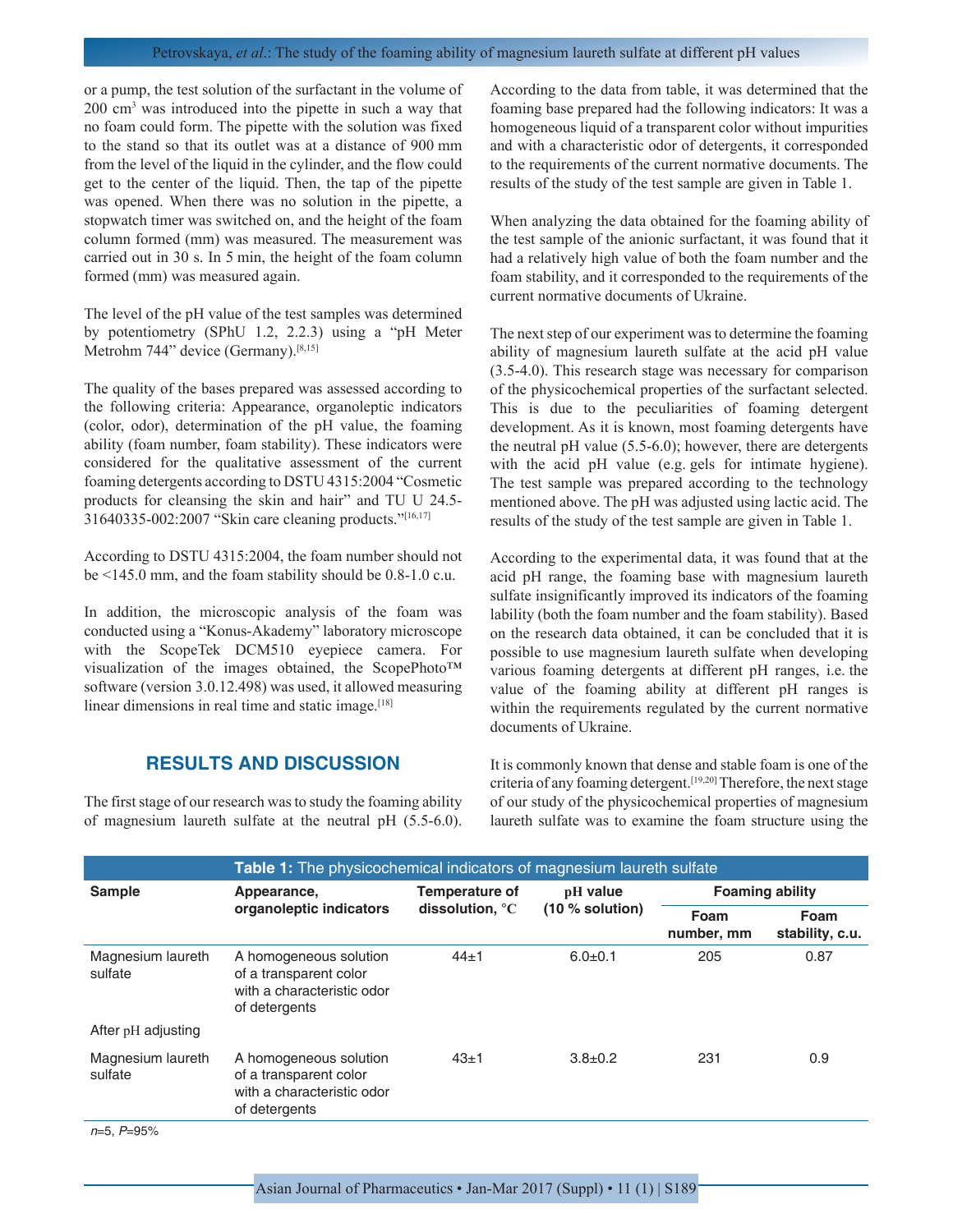#### Petrovskaya, *et al*.: The study of the foaming ability of magnesium laureth sulfate at different рН values

or a pump, the test solution of the surfactant in the volume of 200 cm<sup>3</sup> was introduced into the pipette in such a way that no foam could form. The pipette with the solution was fixed to the stand so that its outlet was at a distance of 900 mm from the level of the liquid in the cylinder, and the flow could get to the center of the liquid. Then, the tap of the pipette was opened. When there was no solution in the pipette, a stopwatch timer was switched on, and the height of the foam column formed (mm) was measured. The measurement was carried out in 30 s. In 5 min, the height of the foam column formed (mm) was measured again.

The level of the pH value of the test samples was determined by potentiometry (SPhU 1.2, 2.2.3) using a "рН Meter Metrohm 744" device (Germany).<sup>[8,15]</sup>

The quality of the bases prepared was assessed according to the following criteria: Appearance, organoleptic indicators (color, odor), determination of the рН value, the foaming ability (foam number, foam stability). These indicators were considered for the qualitative assessment of the current foaming detergents according to DSTU 4315:2004 "Cosmetic products for cleansing the skin and hair" and TU U 24.5- 31640335-002:2007 "Skin care cleaning products."[16,17]

According to DSTU 4315:2004, the foam number should not be <145.0 mm, and the foam stability should be 0.8-1.0 c.u.

In addition, the microscopic analysis of the foam was conducted using a "Konus-Akademy" laboratory microscope with the ScopeTek DCM510 eyepiece camera. For visualization of the images obtained, the ScopePhoto™ software (version 3.0.12.498) was used, it allowed measuring linear dimensions in real time and static image.<sup>[18]</sup>

# **RESULTS AND DISCUSSION**

The first stage of our research was to study the foaming ability of magnesium laureth sulfate at the neutral pH  $(5.5-6.0)$ . According to the data from table, it was determined that the foaming base prepared had the following indicators: It was a homogeneous liquid of a transparent color without impurities and with a characteristic odor of detergents, it corresponded to the requirements of the current normative documents. The results of the study of the test sample are given in Table 1.

When analyzing the data obtained for the foaming ability of the test sample of the anionic surfactant, it was found that it had a relatively high value of both the foam number and the foam stability, and it corresponded to the requirements of the current normative documents of Ukraine.

The next step of our experiment was to determine the foaming ability of magnesium laureth sulfate at the acid рН value (3.5-4.0). This research stage was necessary for comparison of the physicochemical properties of the surfactant selected. This is due to the peculiarities of foaming detergent development. As it is known, most foaming detergents have the neutral рН value (5.5-6.0); however, there are detergents with the acid pH value (e.g. gels for intimate hygiene). The test sample was prepared according to the technology mentioned above. The рН was adjusted using lactic acid. The results of the study of the test sample are given in Table 1.

According to the experimental data, it was found that at the acid рН range, the foaming base with magnesium laureth sulfate insignificantly improved its indicators of the foaming lability (both the foam number and the foam stability). Based on the research data obtained, it can be concluded that it is possible to use magnesium laureth sulfate when developing various foaming detergents at different рН ranges, i.e. the value of the foaming ability at different рН ranges is within the requirements regulated by the current normative documents of Ukraine.

It is commonly known that dense and stable foam is one of the criteria of any foaming detergent.[19,20] Therefore, the next stage of our study of the physicochemical properties of magnesium laureth sulfate was to examine the foam structure using the

|                              | <b>Table 1:</b> The physicochemical indicators of magnesium laureth sulfate                     |                                                      |                               |                        |                         |
|------------------------------|-------------------------------------------------------------------------------------------------|------------------------------------------------------|-------------------------------|------------------------|-------------------------|
| <b>Sample</b>                | Appearance,<br>organoleptic indicators                                                          | <b>Temperature of</b><br>dissolution, <sup>o</sup> C | pH value<br>$(10 %$ solution) | <b>Foaming ability</b> |                         |
|                              |                                                                                                 |                                                      |                               | Foam<br>number, mm     | Foam<br>stability, c.u. |
| Magnesium laureth<br>sulfate | A homogeneous solution<br>of a transparent color<br>with a characteristic odor<br>of detergents | $44 + 1$                                             | $6.0 + 0.1$                   | 205                    | 0.87                    |
| After pH adjusting           |                                                                                                 |                                                      |                               |                        |                         |
| Magnesium laureth<br>sulfate | A homogeneous solution<br>of a transparent color<br>with a characteristic odor<br>of detergents | $43 + 1$                                             | $3.8 \pm 0.2$                 | 231                    | 0.9                     |
| $n-F$ $D-0F$ <sup>0</sup>    |                                                                                                 |                                                      |                               |                        |                         |

*n*=5, *P*=95%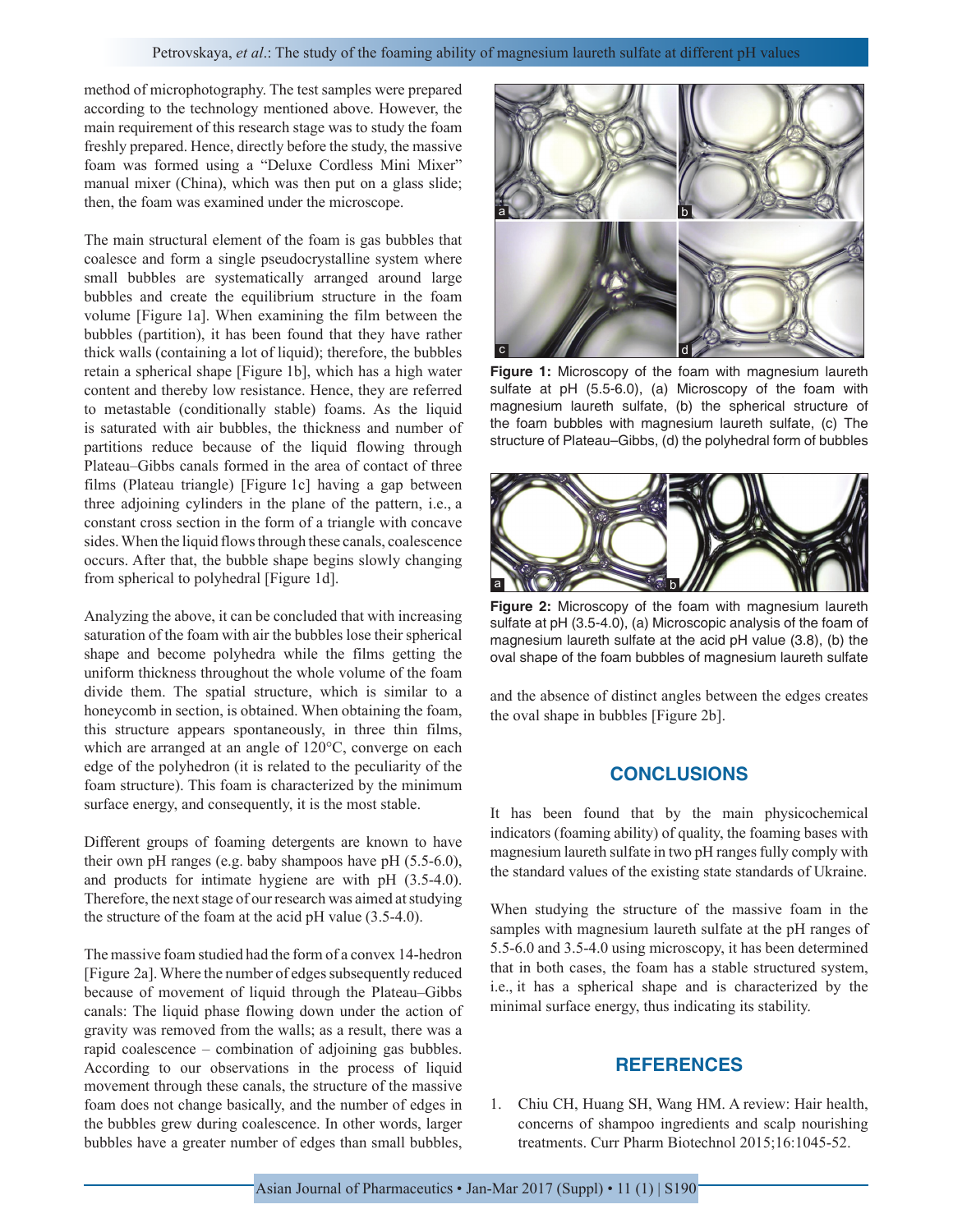method of microphotography. The test samples were prepared according to the technology mentioned above. However, the main requirement of this research stage was to study the foam freshly prepared. Hence, directly before the study, the massive foam was formed using a "Deluxe Cordless Mini Mixer" manual mixer (China), which was then put on a glass slide; then, the foam was examined under the microscope.

The main structural element of the foam is gas bubbles that coalesce and form a single pseudocrystalline system where small bubbles are systematically arranged around large bubbles and create the equilibrium structure in the foam volume [Figure 1a]. When examining the film between the bubbles (partition), it has been found that they have rather thick walls (containing a lot of liquid); therefore, the bubbles retain a spherical shape [Figure 1b], which has a high water content and thereby low resistance. Hence, they are referred to metastable (conditionally stable) foams. As the liquid is saturated with air bubbles, the thickness and number of partitions reduce because of the liquid flowing through Plateau–Gibbs canals formed in the area of contact of three films (Plateau triangle) [Figure 1c] having a gap between three adjoining cylinders in the plane of the pattern, i.e., a constant cross section in the form of a triangle with concave sides. When the liquid flows through these canals, coalescence occurs. After that, the bubble shape begins slowly changing from spherical to polyhedral [Figure 1d].

Analyzing the above, it can be concluded that with increasing saturation of the foam with air the bubbles lose their spherical shape and become polyhedra while the films getting the uniform thickness throughout the whole volume of the foam divide them. The spatial structure, which is similar to a honeycomb in section, is obtained. When obtaining the foam, this structure appears spontaneously, in three thin films, which are arranged at an angle of 120°С, converge on each edge of the polyhedron (it is related to the peculiarity of the foam structure). This foam is characterized by the minimum surface energy, and consequently, it is the most stable.

Different groups of foaming detergents are known to have their own рН ranges (e.g. baby shampoos have рН (5.5-6.0), and products for intimate hygiene are with pH  $(3.5-4.0)$ . Therefore, the next stage of our research was aimed at studying the structure of the foam at the acid pH value (3.5-4.0).

The massive foam studied had the form of a convex 14-hedron [Figure 2a]. Where the number of edges subsequently reduced because of movement of liquid through the Plateau–Gibbs canals: The liquid phase flowing down under the action of gravity was removed from the walls; as a result, there was a rapid coalescence – combination of adjoining gas bubbles. According to our observations in the process of liquid movement through these canals, the structure of the massive foam does not change basically, and the number of edges in the bubbles grew during coalescence. In other words, larger bubbles have a greater number of edges than small bubbles,



**Figure 1:** Microscopy of the foam with magnesium laureth sulfate at pH (5.5-6.0), (a) Microscopy of the foam with magnesium laureth sulfate, (b) the spherical structure of the foam bubbles with magnesium laureth sulfate, (c) The structure of Plateau–Gibbs, (d) the polyhedral form of bubbles



**Figure 2:** Microscopy of the foam with magnesium laureth sulfate at pH (3.5-4.0), (a) Microscopic analysis of the foam of magnesium laureth sulfate at the acid pH value (3.8), (b) the oval shape of the foam bubbles of magnesium laureth sulfate

and the absence of distinct angles between the edges creates the oval shape in bubbles [Figure 2b].

### **CONCLUSIONS**

It has been found that by the main physicochemical indicators (foaming ability) of quality, the foaming bases with magnesium laureth sulfate in two рН ranges fully comply with the standard values of the existing state standards of Ukraine.

When studying the structure of the massive foam in the samples with magnesium laureth sulfate at the pH ranges of 5.5-6.0 and 3.5-4.0 using microscopy, it has been determined that in both cases, the foam has a stable structured system, i.e., it has a spherical shape and is characterized by the minimal surface energy, thus indicating its stability.

### **REFERENCES**

1. Chiu CH, Huang SH, Wang HM. A review: Hair health, concerns of shampoo ingredients and scalp nourishing treatments. Curr Pharm Biotechnol 2015;16:1045-52.